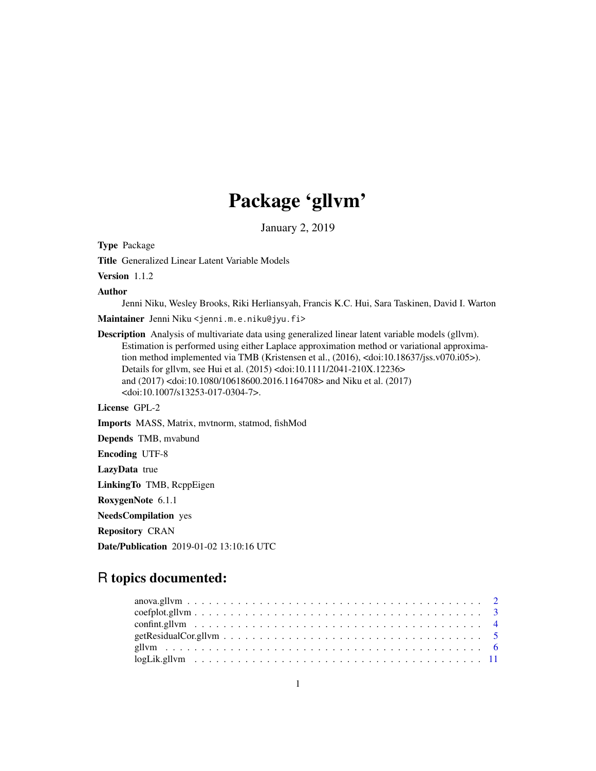# Package 'gllvm'

January 2, 2019

<span id="page-0-0"></span>Type Package

Title Generalized Linear Latent Variable Models

Version 1.1.2

Author

Jenni Niku, Wesley Brooks, Riki Herliansyah, Francis K.C. Hui, Sara Taskinen, David I. Warton Maintainer Jenni Niku <jenni.m.e.niku@jyu.fi>

Description Analysis of multivariate data using generalized linear latent variable models (gllvm). Estimation is performed using either Laplace approximation method or variational approximation method implemented via TMB (Kristensen et al., (2016), <doi:10.18637/jss.v070.i05>). Details for gllvm, see Hui et al. (2015) <doi:10.1111/2041-210X.12236> and (2017) <doi:10.1080/10618600.2016.1164708> and Niku et al. (2017) <doi:10.1007/s13253-017-0304-7>.

License GPL-2

Imports MASS, Matrix, mvtnorm, statmod, fishMod

Depends TMB, mvabund

Encoding UTF-8

LazyData true

LinkingTo TMB, RcppEigen

RoxygenNote 6.1.1

NeedsCompilation yes

Repository CRAN

Date/Publication 2019-01-02 13:10:16 UTC

### R topics documented: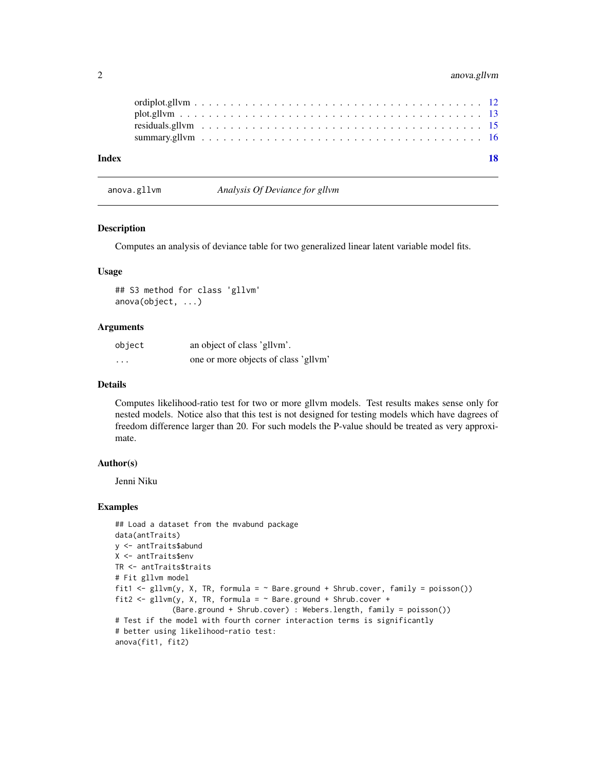#### <span id="page-1-0"></span>2 anova.gllvm

| Index |  |  |  |  |  |  |  |  |  |  |  |  |  |  |  |  |  |  | 18 |
|-------|--|--|--|--|--|--|--|--|--|--|--|--|--|--|--|--|--|--|----|
|       |  |  |  |  |  |  |  |  |  |  |  |  |  |  |  |  |  |  |    |
|       |  |  |  |  |  |  |  |  |  |  |  |  |  |  |  |  |  |  |    |
|       |  |  |  |  |  |  |  |  |  |  |  |  |  |  |  |  |  |  |    |
|       |  |  |  |  |  |  |  |  |  |  |  |  |  |  |  |  |  |  |    |

anova.gllvm *Analysis Of Deviance for gllvm*

#### Description

Computes an analysis of deviance table for two generalized linear latent variable model fits.

#### Usage

## S3 method for class 'gllvm' anova(object, ...)

#### Arguments

| object   | an object of class 'gllym'.          |
|----------|--------------------------------------|
| $\cdots$ | one or more objects of class 'gllvm' |

#### Details

Computes likelihood-ratio test for two or more gllvm models. Test results makes sense only for nested models. Notice also that this test is not designed for testing models which have dagrees of freedom difference larger than 20. For such models the P-value should be treated as very approximate.

#### Author(s)

Jenni Niku

```
## Load a dataset from the mvabund package
data(antTraits)
y <- antTraits$abund
X <- antTraits$env
TR <- antTraits$traits
# Fit gllvm model
fit1 <- gllvm(y, X, TR, formula = \sim Bare.ground + Shrub.cover, family = poisson())
fit2 <- gllvm(y, X, TR, formula = ~Bare.ground + Shrub.cover +(Bare.ground + Shrub.cover) : Webers.length, family = poisson())
# Test if the model with fourth corner interaction terms is significantly
# better using likelihood-ratio test:
anova(fit1, fit2)
```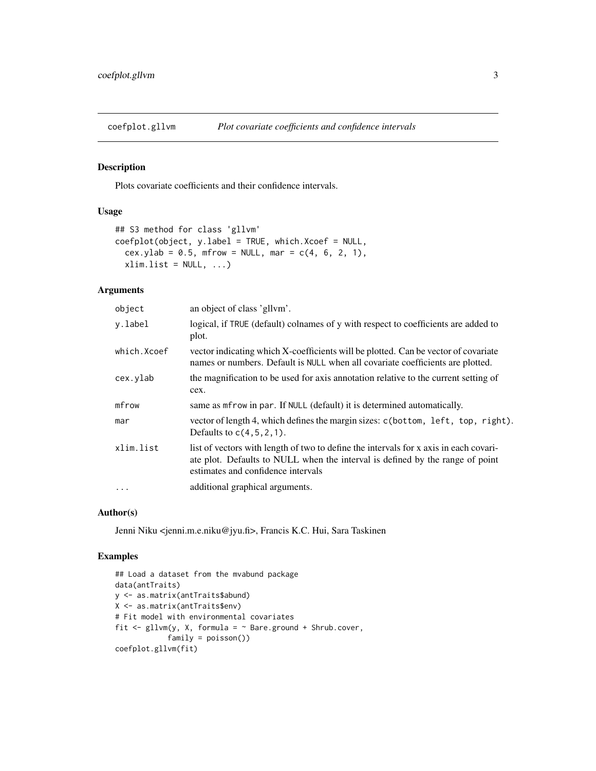<span id="page-2-1"></span><span id="page-2-0"></span>

#### Description

Plots covariate coefficients and their confidence intervals.

#### Usage

```
## S3 method for class 'gllvm'
coefplot(object, y.label = TRUE, which.Xcoef = NULL,
  cex.ylab = 0.5, mfrow = NULL, mar = c(4, 6, 2, 1),
  xlim.list = NULL, ...
```
#### Arguments

| object      | an object of class 'gllym'.                                                                                                                                                                                  |
|-------------|--------------------------------------------------------------------------------------------------------------------------------------------------------------------------------------------------------------|
| y.label     | logical, if TRUE (default) colnames of y with respect to coefficients are added to<br>plot.                                                                                                                  |
| which.Xcoef | vector indicating which X-coefficients will be plotted. Can be vector of covariate<br>names or numbers. Default is NULL when all covariate coefficients are plotted.                                         |
| cex.ylab    | the magnification to be used for axis annotation relative to the current setting of<br>cex.                                                                                                                  |
| mfrow       | same as mfrow in par. If NULL (default) it is determined automatically.                                                                                                                                      |
| mar         | vector of length 4, which defines the margin sizes: c(bottom, left, top, right).<br>Defaults to $c(4, 5, 2, 1)$ .                                                                                            |
| xlim.list   | list of vectors with length of two to define the intervals for x axis in each covari-<br>ate plot. Defaults to NULL when the interval is defined by the range of point<br>estimates and confidence intervals |
| .           | additional graphical arguments.                                                                                                                                                                              |
|             |                                                                                                                                                                                                              |

#### Author(s)

Jenni Niku <jenni.m.e.niku@jyu.fi>, Francis K.C. Hui, Sara Taskinen

```
## Load a dataset from the mvabund package
data(antTraits)
y <- as.matrix(antTraits$abund)
X <- as.matrix(antTraits$env)
# Fit model with environmental covariates
fit \le gllvm(y, X, formula = \sim Bare.ground + Shrub.cover,
            family = poisson())
coefplot.gllvm(fit)
```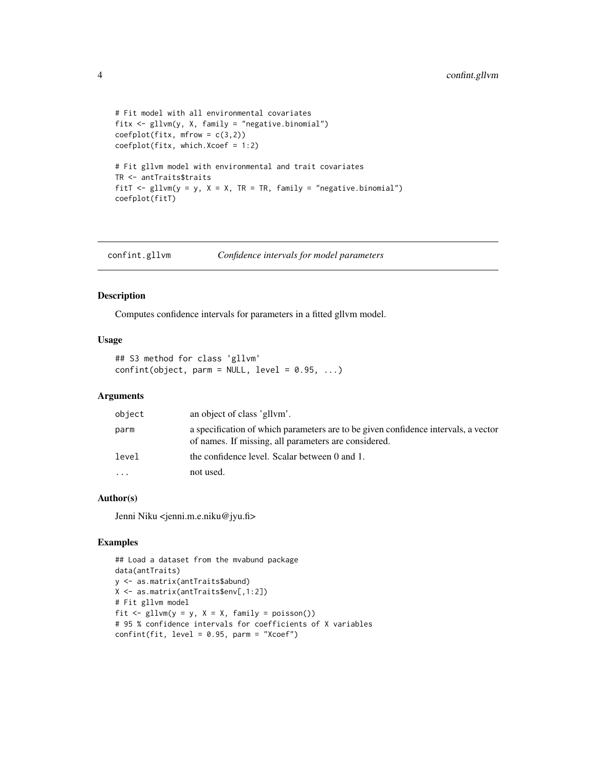```
# Fit model with all environmental covariates
fitx <- gllvm(y, X, family = "negative.binomial")
coefflot(fitx, mfrom = c(3,2))coefplot(fitx, which.Xcoef = 1:2)
# Fit gllvm model with environmental and trait covariates
TR <- antTraits$traits
fitT \le gllvm(y = y, X = X, TR = TR, family = "negative.binomial")
coefplot(fitT)
```
<span id="page-3-1"></span>confint.gllvm *Confidence intervals for model parameters*

#### Description

Computes confidence intervals for parameters in a fitted gllvm model.

#### Usage

## S3 method for class 'gllvm'  $confint(object, parm = NULL, level = 0.95, ...)$ 

#### Arguments

| object   | an object of class 'gllym'.                                                                                                                |
|----------|--------------------------------------------------------------------------------------------------------------------------------------------|
| parm     | a specification of which parameters are to be given confidence intervals, a vector<br>of names. If missing, all parameters are considered. |
| level    | the confidence level. Scalar between 0 and 1.                                                                                              |
| $\cdots$ | not used.                                                                                                                                  |

#### Author(s)

Jenni Niku <jenni.m.e.niku@jyu.fi>

```
## Load a dataset from the mvabund package
data(antTraits)
y <- as.matrix(antTraits$abund)
X <- as.matrix(antTraits$env[,1:2])
# Fit gllvm model
fit \le gllvm(y = y, X = X, family = poisson())
# 95 % confidence intervals for coefficients of X variables
confint(fit, level = 0.95, parm = "Xcoef")
```
<span id="page-3-0"></span>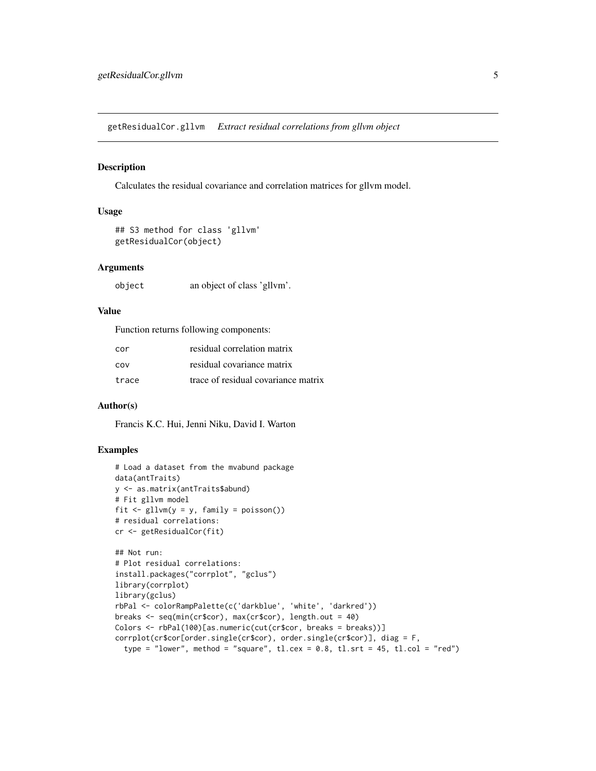<span id="page-4-0"></span>getResidualCor.gllvm *Extract residual correlations from gllvm object*

#### Description

Calculates the residual covariance and correlation matrices for gllvm model.

#### Usage

```
## S3 method for class 'gllvm'
getResidualCor(object)
```
#### **Arguments**

object an object of class 'gllvm'.

#### Value

Function returns following components:

| cor   | residual correlation matrix         |
|-------|-------------------------------------|
| COV   | residual covariance matrix          |
| trace | trace of residual covariance matrix |

#### Author(s)

Francis K.C. Hui, Jenni Niku, David I. Warton

```
# Load a dataset from the mvabund package
data(antTraits)
y <- as.matrix(antTraits$abund)
# Fit gllvm model
fit \leq gllvm(y = y, family = poisson())
# residual correlations:
cr <- getResidualCor(fit)
## Not run:
# Plot residual correlations:
install.packages("corrplot", "gclus")
library(corrplot)
library(gclus)
rbPal <- colorRampPalette(c('darkblue', 'white', 'darkred'))
breaks <- seq(min(cr$cor), max(cr$cor), length.out = 40)
Colors <- rbPal(100)[as.numeric(cut(cr$cor, breaks = breaks))]
corrplot(cr$cor[order.single(cr$cor), order.single(cr$cor)], diag = F,
```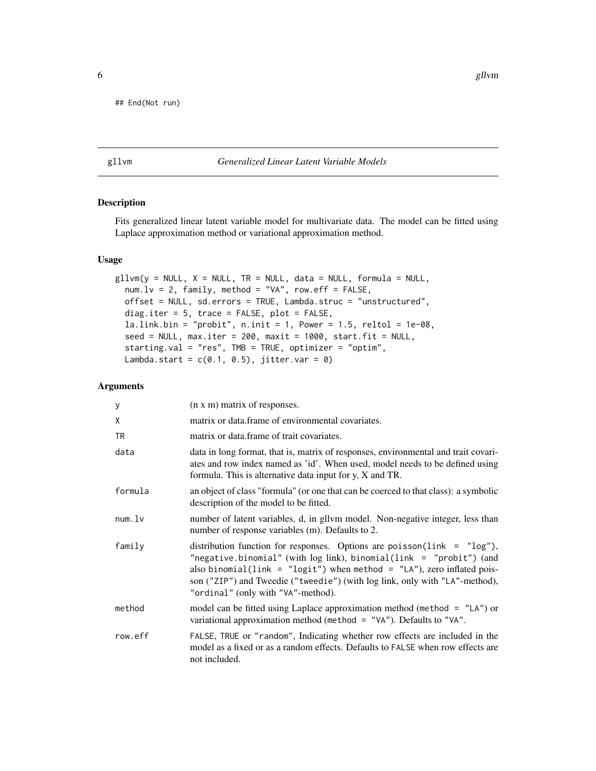<span id="page-5-0"></span>## End(Not run)

#### <span id="page-5-1"></span>gllvm *Generalized Linear Latent Variable Models*

#### Description

Fits generalized linear latent variable model for multivariate data. The model can be fitted using Laplace approximation method or variational approximation method.

#### Usage

```
gllvm(y = NULL, X = NULL, TR = NULL, data = NULL, formula = NULL,num.Lv = 2, family, method = "VA", row.eff = FALSE,offset = NULL, sd.errors = TRUE, Lambda.struc = "unstructured",
 diag.iter = 5, trace = FALSE, plot = FALSE,
  la.link.bin = "probit", n.init = 1, Power = 1.5, reltol = 1e-08,
  seed = NULL, max.iter = 200, maxit = 1000, start.fit = NULL,
  starting.val = "res", TMB = TRUE, optimizer = "optim",
  Lambda.start = c(0.1, 0.5), jitter.var = 0)
```
#### Arguments

| У       | (n x m) matrix of responses.                                                                                                                                                                                                                                                                                                                         |
|---------|------------------------------------------------------------------------------------------------------------------------------------------------------------------------------------------------------------------------------------------------------------------------------------------------------------------------------------------------------|
| X       | matrix or data frame of environmental covariates.                                                                                                                                                                                                                                                                                                    |
| TR.     | matrix or data.frame of trait covariates.                                                                                                                                                                                                                                                                                                            |
| data    | data in long format, that is, matrix of responses, environmental and trait covari-<br>ates and row index named as 'id'. When used, model needs to be defined using<br>formula. This is alternative data input for $y$ , $X$ and TR.                                                                                                                  |
| formula | an object of class "formula" (or one that can be coerced to that class): a symbolic<br>description of the model to be fitted.                                                                                                                                                                                                                        |
| num.    | number of latent variables, d, in gllvm model. Non-negative integer, less than<br>number of response variables (m). Defaults to 2.                                                                                                                                                                                                                   |
| family  | distribution function for responses. Options are poisson( $link = "log")$ ,<br>"negative.binomial" (with $log link$ ), binomial(link = "probit") (and<br>also binomial(link = "logit") when method = "LA"), zero inflated pois-<br>son ("ZIP") and Tweedie ("tweedie") (with log link, only with "LA"-method),<br>"ordinal" (only with "VA"-method). |
| method  | model can be fitted using Laplace approximation method (method $=$ "LA") or<br>variational approximation method (method = "VA"). Defaults to "VA".                                                                                                                                                                                                   |
| row.eff | FALSE, TRUE or "random", Indicating whether row effects are included in the<br>model as a fixed or as a random effects. Defaults to FALSE when row effects are<br>not included.                                                                                                                                                                      |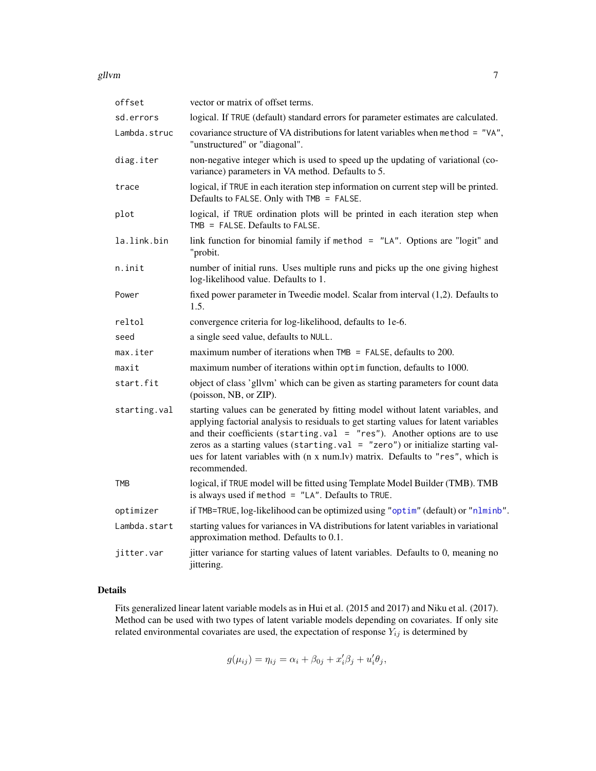<span id="page-6-0"></span>

| offset       | vector or matrix of offset terms.                                                                                                                                                                                                                                                                                                                                                                                                           |
|--------------|---------------------------------------------------------------------------------------------------------------------------------------------------------------------------------------------------------------------------------------------------------------------------------------------------------------------------------------------------------------------------------------------------------------------------------------------|
| sd.errors    | logical. If TRUE (default) standard errors for parameter estimates are calculated.                                                                                                                                                                                                                                                                                                                                                          |
| Lambda.struc | covariance structure of VA distributions for latent variables when method = "VA",<br>"unstructured" or "diagonal".                                                                                                                                                                                                                                                                                                                          |
| diag.iter    | non-negative integer which is used to speed up the updating of variational (co-<br>variance) parameters in VA method. Defaults to 5.                                                                                                                                                                                                                                                                                                        |
| trace        | logical, if TRUE in each iteration step information on current step will be printed.<br>Defaults to FALSE. Only with TMB = FALSE.                                                                                                                                                                                                                                                                                                           |
| plot         | logical, if TRUE ordination plots will be printed in each iteration step when<br>TMB = $FALSE.$ Defaults to $FALSE.$                                                                                                                                                                                                                                                                                                                        |
| la.link.bin  | link function for binomial family if method = $"LA"$ . Options are "logit" and<br>"probit.                                                                                                                                                                                                                                                                                                                                                  |
| n.init       | number of initial runs. Uses multiple runs and picks up the one giving highest<br>log-likelihood value. Defaults to 1.                                                                                                                                                                                                                                                                                                                      |
| Power        | fixed power parameter in Tweedie model. Scalar from interval (1,2). Defaults to<br>1.5.                                                                                                                                                                                                                                                                                                                                                     |
| reltol       | convergence criteria for log-likelihood, defaults to 1e-6.                                                                                                                                                                                                                                                                                                                                                                                  |
| seed         | a single seed value, defaults to NULL.                                                                                                                                                                                                                                                                                                                                                                                                      |
| max.iter     | maximum number of iterations when $TMB = FALSE$ , defaults to 200.                                                                                                                                                                                                                                                                                                                                                                          |
| maxit        | maximum number of iterations within optim function, defaults to 1000.                                                                                                                                                                                                                                                                                                                                                                       |
| start.fit    | object of class 'gllvm' which can be given as starting parameters for count data<br>(poisson, NB, or ZIP).                                                                                                                                                                                                                                                                                                                                  |
| starting.val | starting values can be generated by fitting model without latent variables, and<br>applying factorial analysis to residuals to get starting values for latent variables<br>and their coefficients (starting.val = $"res"$ ). Another options are to use<br>zeros as a starting values (starting.val = "zero") or initialize starting val-<br>ues for latent variables with (n x num.lv) matrix. Defaults to "res", which is<br>recommended. |
| <b>TMB</b>   | logical, if TRUE model will be fitted using Template Model Builder (TMB). TMB<br>is always used if method = "LA". Defaults to TRUE.                                                                                                                                                                                                                                                                                                         |
| optimizer    | if TMB=TRUE, log-likelihood can be optimized using "optim" (default) or "nlminb".                                                                                                                                                                                                                                                                                                                                                           |
| Lambda.start | starting values for variances in VA distributions for latent variables in variational<br>approximation method. Defaults to 0.1.                                                                                                                                                                                                                                                                                                             |
| jitter.var   | jitter variance for starting values of latent variables. Defaults to 0, meaning no<br>jittering.                                                                                                                                                                                                                                                                                                                                            |

#### Details

Fits generalized linear latent variable models as in Hui et al. (2015 and 2017) and Niku et al. (2017). Method can be used with two types of latent variable models depending on covariates. If only site related environmental covariates are used, the expectation of response  $Y_{ij}$  is determined by

$$
g(\mu_{ij}) = \eta_{ij} = \alpha_i + \beta_{0j} + x_i'\beta_j + u_i'\theta_j,
$$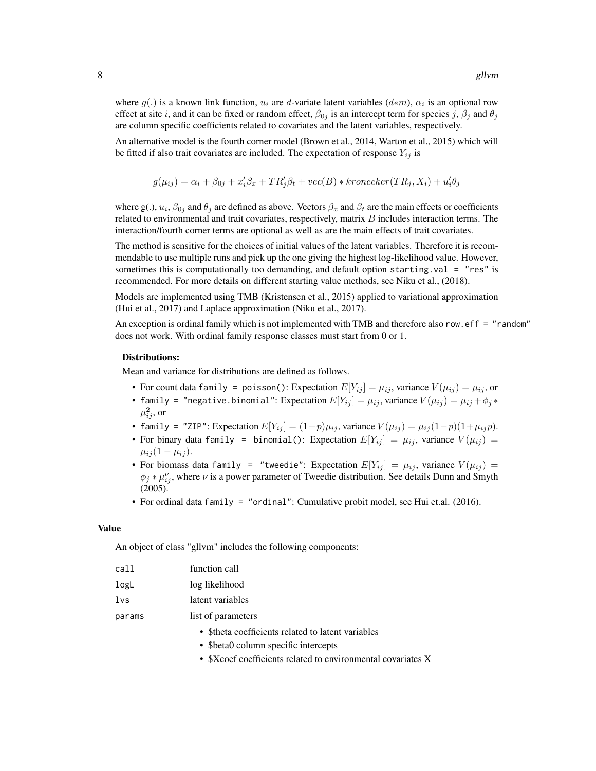where  $g(.)$  is a known link function,  $u_i$  are d-variate latent variables  $(d \ll m)$ ,  $\alpha_i$  is an optional row effect at site i, and it can be fixed or random effect,  $\beta_{0j}$  is an intercept term for species j,  $\beta_i$  and  $\theta_j$ are column specific coefficients related to covariates and the latent variables, respectively.

An alternative model is the fourth corner model (Brown et al., 2014, Warton et al., 2015) which will be fitted if also trait covariates are included. The expectation of response  $Y_{ij}$  is

$$
g(\mu_{ij}) = \alpha_i + \beta_{0j} + x_i'\beta_x + TR_j'\beta_t + vec(B) * kronecker(TR_j, X_i) + u_i'\theta_j
$$

where g(.),  $u_i$ ,  $\beta_{0j}$  and  $\theta_j$  are defined as above. Vectors  $\beta_x$  and  $\beta_t$  are the main effects or coefficients related to environmental and trait covariates, respectively, matrix  $B$  includes interaction terms. The interaction/fourth corner terms are optional as well as are the main effects of trait covariates.

The method is sensitive for the choices of initial values of the latent variables. Therefore it is recommendable to use multiple runs and pick up the one giving the highest log-likelihood value. However, sometimes this is computationally too demanding, and default option starting.val = "res" is recommended. For more details on different starting value methods, see Niku et al., (2018).

Models are implemented using TMB (Kristensen et al., 2015) applied to variational approximation (Hui et al., 2017) and Laplace approximation (Niku et al., 2017).

An exception is ordinal family which is not implemented with TMB and therefore also row.eff = "random" does not work. With ordinal family response classes must start from 0 or 1.

#### Distributions:

Mean and variance for distributions are defined as follows.

- For count data family = poisson(): Expectation  $E[Y_{ii}] = \mu_{ii}$ , variance  $V(\mu_{ii}) = \mu_{ii}$ , or
- family = "negative.binomial": Expectation  $E[Y_{ij}] = \mu_{ij}$ , variance  $V(\mu_{ij}) = \mu_{ij} + \phi_j *$  $\mu_{ij}^2$ , or
- family = "ZIP": Expectation  $E[Y_{ij}] = (1-p)\mu_{ij}$ , variance  $V(\mu_{ij}) = \mu_{ij}(1-p)(1+\mu_{ij}p)$ .
- For binary data family = binomial(): Expectation  $E[Y_{ij}] = \mu_{ij}$ , variance  $V(\mu_{ij}) =$  $\mu_{ij} (1 - \mu_{ij}).$
- For biomass data family = "tweedie": Expectation  $E[Y_{ij}] = \mu_{ij}$ , variance  $V(\mu_{ij}) =$  $\phi_j * \mu_{ij}^{\nu}$ , where  $\nu$  is a power parameter of Tweedie distribution. See details Dunn and Smyth (2005).
- For ordinal data family = "ordinal": Cumulative probit model, see Hui et.al. (2016).

#### Value

An object of class "gllvm" includes the following components:

| call | function call    |
|------|------------------|
| logL | log likelihood   |
| 1vs  | latent variables |
|      |                  |

params list of parameters

- \$theta coefficients related to latent variables
- \$beta0 column specific intercepts
- \$Xcoef coefficients related to environmental covariates X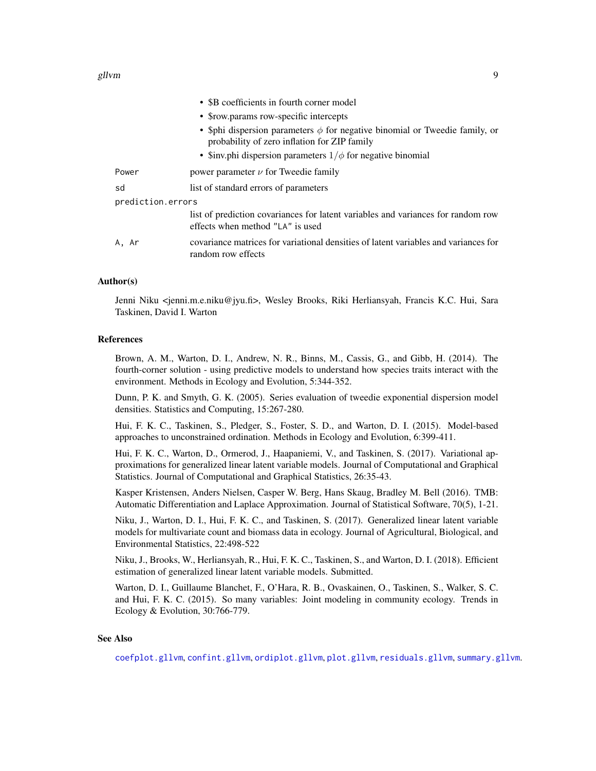#### <span id="page-8-0"></span>gllvm and the set of the set of the set of the set of the set of the set of the set of the set of the set of the set of the set of the set of the set of the set of the set of the set of the set of the set of the set of the

|                   | • \$B coefficients in fourth corner model                                                                                        |
|-------------------|----------------------------------------------------------------------------------------------------------------------------------|
|                   | • \$row.params row-specific intercepts                                                                                           |
|                   | • \$phi dispersion parameters $\phi$ for negative binomial or Tweedie family, or<br>probability of zero inflation for ZIP family |
|                   | • Sinv.phi dispersion parameters $1/\phi$ for negative binomial                                                                  |
| Power             | power parameter $\nu$ for Tweedie family                                                                                         |
| sd                | list of standard errors of parameters                                                                                            |
| prediction.errors |                                                                                                                                  |
|                   | list of prediction covariances for latent variables and variances for random row<br>effects when method "LA" is used             |
| A. Ar             | covariance matrices for variational densities of latent variables and variances for<br>random row effects                        |

#### Author(s)

Jenni Niku <jenni.m.e.niku@jyu.fi>, Wesley Brooks, Riki Herliansyah, Francis K.C. Hui, Sara Taskinen, David I. Warton

#### References

Brown, A. M., Warton, D. I., Andrew, N. R., Binns, M., Cassis, G., and Gibb, H. (2014). The fourth-corner solution - using predictive models to understand how species traits interact with the environment. Methods in Ecology and Evolution, 5:344-352.

Dunn, P. K. and Smyth, G. K. (2005). Series evaluation of tweedie exponential dispersion model densities. Statistics and Computing, 15:267-280.

Hui, F. K. C., Taskinen, S., Pledger, S., Foster, S. D., and Warton, D. I. (2015). Model-based approaches to unconstrained ordination. Methods in Ecology and Evolution, 6:399-411.

Hui, F. K. C., Warton, D., Ormerod, J., Haapaniemi, V., and Taskinen, S. (2017). Variational approximations for generalized linear latent variable models. Journal of Computational and Graphical Statistics. Journal of Computational and Graphical Statistics, 26:35-43.

Kasper Kristensen, Anders Nielsen, Casper W. Berg, Hans Skaug, Bradley M. Bell (2016). TMB: Automatic Differentiation and Laplace Approximation. Journal of Statistical Software, 70(5), 1-21.

Niku, J., Warton, D. I., Hui, F. K. C., and Taskinen, S. (2017). Generalized linear latent variable models for multivariate count and biomass data in ecology. Journal of Agricultural, Biological, and Environmental Statistics, 22:498-522

Niku, J., Brooks, W., Herliansyah, R., Hui, F. K. C., Taskinen, S., and Warton, D. I. (2018). Efficient estimation of generalized linear latent variable models. Submitted.

Warton, D. I., Guillaume Blanchet, F., O'Hara, R. B., Ovaskainen, O., Taskinen, S., Walker, S. C. and Hui, F. K. C. (2015). So many variables: Joint modeling in community ecology. Trends in Ecology & Evolution, 30:766-779.

#### See Also

[coefplot.gllvm](#page-2-1), [confint.gllvm](#page-3-1), [ordiplot.gllvm](#page-11-1), [plot.gllvm](#page-12-1), [residuals.gllvm](#page-14-1), [summary.gllvm](#page-15-1).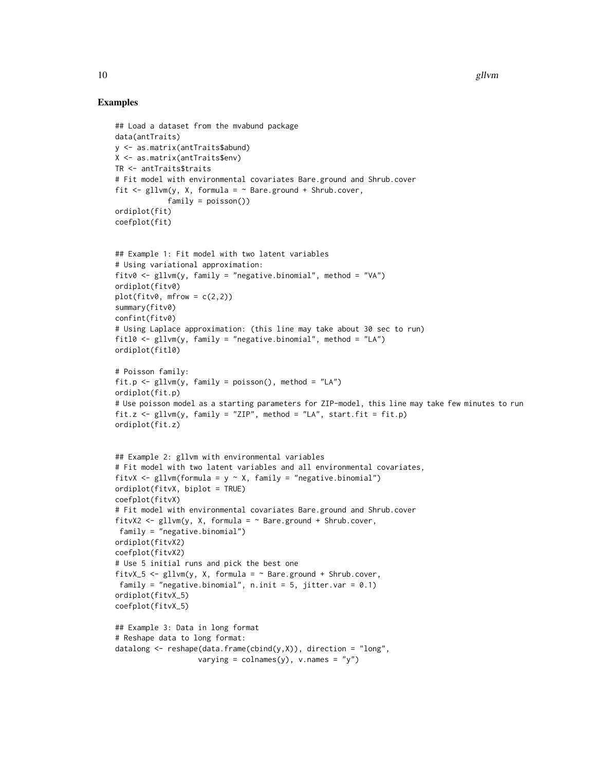```
## Load a dataset from the mvabund package
data(antTraits)
y <- as.matrix(antTraits$abund)
X <- as.matrix(antTraits$env)
TR <- antTraits$traits
# Fit model with environmental covariates Bare.ground and Shrub.cover
fit \le gllvm(y, X, formula = \sim Bare.ground + Shrub.cover,
            family = poisson())
ordiplot(fit)
coefplot(fit)
## Example 1: Fit model with two latent variables
# Using variational approximation:
fitv0 <- gllvm(y, family = "negative.binomial", method = "VA")
ordiplot(fitv0)
plot(fitv0, mfrow = c(2,2))summary(fitv0)
confint(fitv0)
# Using Laplace approximation: (this line may take about 30 sec to run)
fitl0 <- gllvm(y, family = "negative.binomial", method = "LA")
ordiplot(fitl0)
# Poisson family:
fit.p <- gllvm(y, family = poisson(), method = "LA")
ordiplot(fit.p)
# Use poisson model as a starting parameters for ZIP-model, this line may take few minutes to run
fit.z \le gllvm(y, family = "ZIP", method = "LA", start.fit = fit.p)
ordiplot(fit.z)
## Example 2: gllvm with environmental variables
# Fit model with two latent variables and all environmental covariates,
fitvX <- gllvm(formula = y \sim X, family = "negative.binomial")
ordiplot(fitvX, biplot = TRUE)
coefplot(fitvX)
# Fit model with environmental covariates Bare.ground and Shrub.cover
fitvX2 <- gllvm(y, X, formula = ~Bare.ground + Shrub.cover,family = "negative.binomial")
ordiplot(fitvX2)
coefplot(fitvX2)
# Use 5 initial runs and pick the best one
fitvX_5 <- gllvm(y, X, formula = ~Bare.ground + Shrub.cover,family = "negative.binomial", n.init = 5, jitter.var = 0.1)
ordiplot(fitvX_5)
coefplot(fitvX_5)
## Example 3: Data in long format
# Reshape data to long format:
datalong \leq reshape(data.frame(cbind(y,X)), direction = "long",
                   varying = \text{colnames}(y), v.\text{names} = "y")
```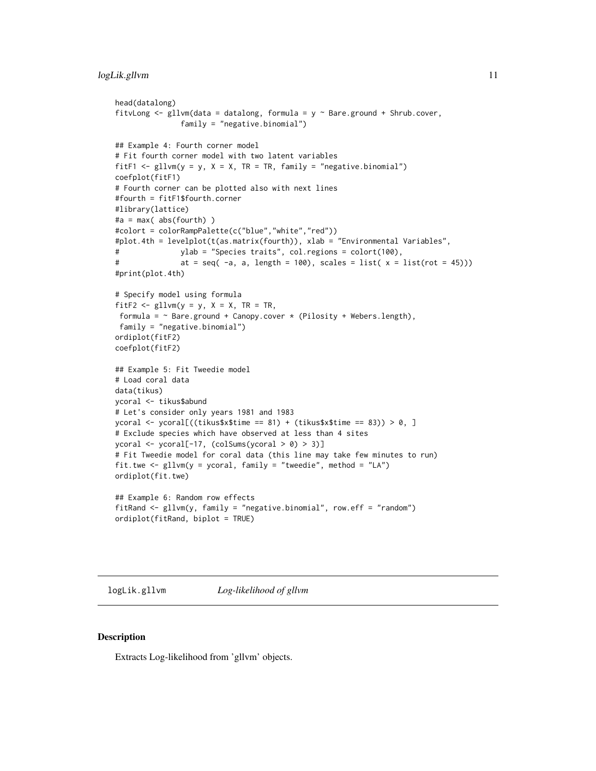```
head(datalong)
fitvLong \leq gllvm(data = datalong, formula = y \sim Bare.ground + Shrub.cover,
               family = "negative.binomial")
## Example 4: Fourth corner model
# Fit fourth corner model with two latent variables
fitF1 <- gllvm(y = y, X = X, TR = TR, family = "negative-binomial")coefplot(fitF1)
# Fourth corner can be plotted also with next lines
#fourth = fitF1$fourth.corner
#library(lattice)
#a = max(abs(fourth))#colort = colorRampPalette(c("blue","white","red"))
#plot.4th = levelplot(t(as.matrix(fourth)), xlab = "Environmental Variables",
# ylab = "Species traits", col.regions = colort(100),
# at = seq(-a, a, length = 100), scales = list(x = list(root = 45)))#print(plot.4th)
# Specify model using formula
fitF2 \le gllvm(y = y, X = X, TR = TR,
formula = \sim Bare.ground + Canopy.cover * (Pilosity + Webers.length),
family = "negative.binomial")
ordiplot(fitF2)
coefplot(fitF2)
## Example 5: Fit Tweedie model
# Load coral data
data(tikus)
ycoral <- tikus$abund
# Let's consider only years 1981 and 1983
ycoral <- ycoral[((tikus$x$time == 81) + (tikus$x$time == 83)) > 0, ]
# Exclude species which have observed at less than 4 sites
ycoral <- ycoral[-17, (colSums(ycoral > 0) > 3)]
# Fit Tweedie model for coral data (this line may take few minutes to run)
fit.twe \leq gllvm(y = ycoral, family = "tweedie", method = "LA")
ordiplot(fit.twe)
## Example 6: Random row effects
fitRand <- gllvm(y, family = "negative.binomial", row.eff = "random")
ordiplot(fitRand, biplot = TRUE)
```
logLik.gllvm *Log-likelihood of gllvm*

#### Description

Extracts Log-likelihood from 'gllvm' objects.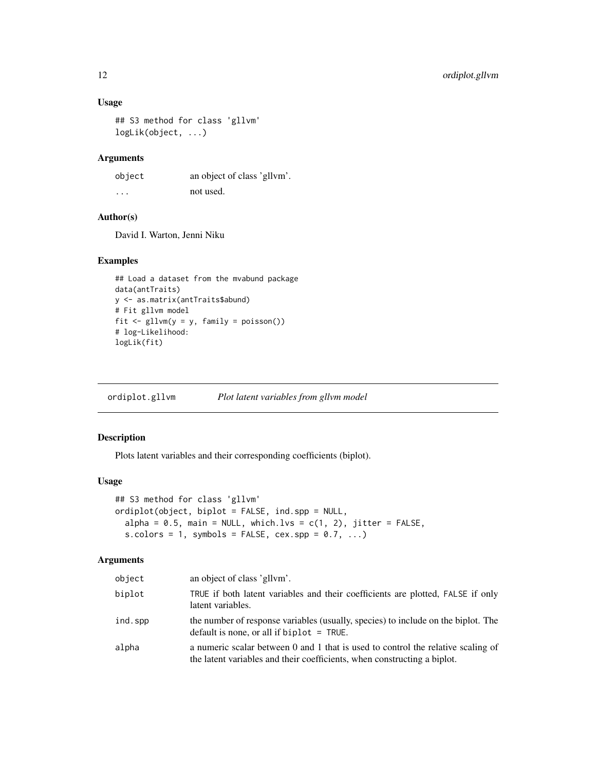#### Usage

```
## S3 method for class 'gllvm'
logLik(object, ...)
```
#### Arguments

object an object of class 'gllvm'. ... not used.

#### Author(s)

David I. Warton, Jenni Niku

#### Examples

```
## Load a dataset from the mvabund package
data(antTraits)
y <- as.matrix(antTraits$abund)
# Fit gllvm model
fit <- gllvm(y = y, family = poisson())
# log-Likelihood:
logLik(fit)
```
<span id="page-11-1"></span>ordiplot.gllvm *Plot latent variables from gllvm model*

#### Description

Plots latent variables and their corresponding coefficients (biplot).

#### Usage

```
## S3 method for class 'gllvm'
ordiplot(object, biplot = FALSE, ind.spp = NULL,
  alpha = 0.5, main = NULL, which.lvs = c(1, 2), jitter = FALSE,
  s.colors = 1, symbols = FALSE, cex.\,spp = 0.7, ...
```
#### Arguments

| object  | an object of class 'gllym'.                                                                                                                                  |
|---------|--------------------------------------------------------------------------------------------------------------------------------------------------------------|
| biplot  | TRUE if both latent variables and their coefficients are plotted, FALSE if only<br>latent variables.                                                         |
| ind.spp | the number of response variables (usually, species) to include on the biplot. The<br>default is none, or all if biplot $=$ TRUE.                             |
| alpha   | a numeric scalar between 0 and 1 that is used to control the relative scaling of<br>the latent variables and their coefficients, when constructing a biplot. |

<span id="page-11-0"></span>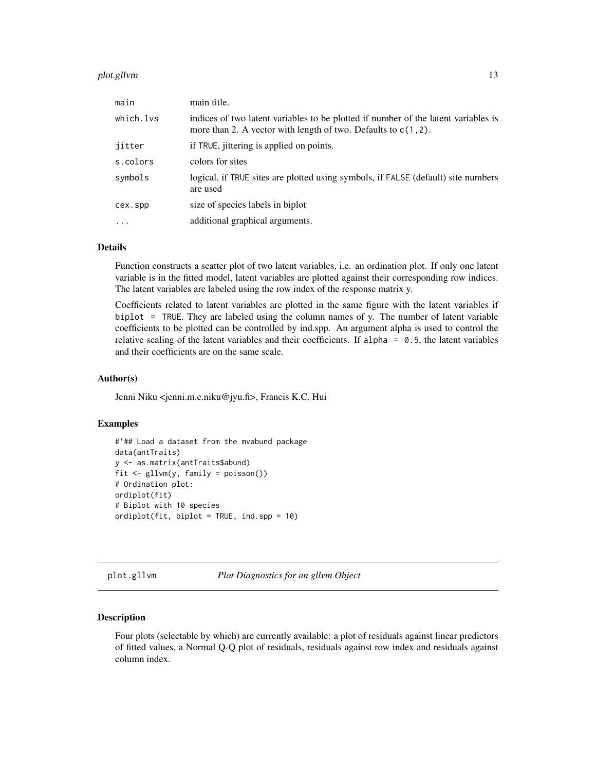#### <span id="page-12-0"></span>plot.gllvm 13

| main      | main title.                                                                                                                                             |
|-----------|---------------------------------------------------------------------------------------------------------------------------------------------------------|
| which.lvs | indices of two latent variables to be plotted if number of the latent variables is<br>more than 2. A vector with length of two. Defaults to $c(1, 2)$ . |
| jitter    | if TRUE, jittering is applied on points.                                                                                                                |
| s.colors  | colors for sites                                                                                                                                        |
| symbols   | logical, if TRUE sites are plotted using symbols, if FALSE (default) site numbers<br>are used                                                           |
| cex.spp   | size of species labels in biplot                                                                                                                        |
| $\ddotsc$ | additional graphical arguments.                                                                                                                         |

#### Details

Function constructs a scatter plot of two latent variables, i.e. an ordination plot. If only one latent variable is in the fitted model, latent variables are plotted against their corresponding row indices. The latent variables are labeled using the row index of the response matrix y.

Coefficients related to latent variables are plotted in the same figure with the latent variables if biplot = TRUE. They are labeled using the column names of y. The number of latent variable coefficients to be plotted can be controlled by ind.spp. An argument alpha is used to control the relative scaling of the latent variables and their coefficients. If alpha =  $0.5$ , the latent variables and their coefficients are on the same scale.

#### Author(s)

Jenni Niku <jenni.m.e.niku@jyu.fi>, Francis K.C. Hui

#### Examples

```
#'## Load a dataset from the mvabund package
data(antTraits)
y <- as.matrix(antTraits$abund)
fit \leq gllvm(y, family = poisson())
# Ordination plot:
ordiplot(fit)
# Biplot with 10 species
ordiplot(fit, biplot = TRUE, ind.spp = 10)
```
<span id="page-12-1"></span>plot.gllvm *Plot Diagnostics for an gllvm Object*

#### Description

Four plots (selectable by which) are currently available: a plot of residuals against linear predictors of fitted values, a Normal Q-Q plot of residuals, residuals against row index and residuals against column index.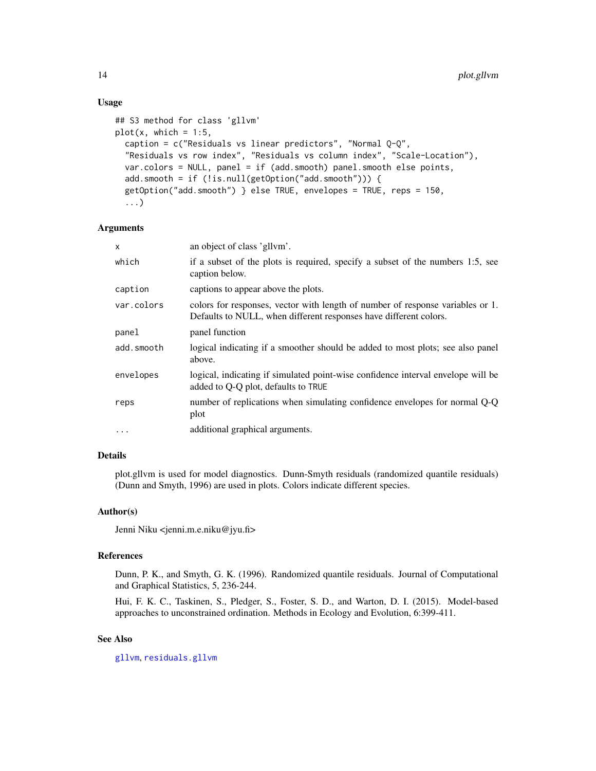#### Usage

```
## S3 method for class 'gllvm'
plot(x, which = 1:5,caption = c("Residuals vs linear predictors", "Normal Q-Q",
  "Residuals vs row index", "Residuals vs column index", "Scale-Location"),
  var.colors = NULL, panel = if (add.smooth) panel.smooth else points,
  add.smooth = if (!is.null(getOption("add.smooth"))) {
  getOption("add.smooth") } else TRUE, envelopes = TRUE, reps = 150,
  ...)
```
#### Arguments

| an object of class 'gllym'.                                                                                                                         |
|-----------------------------------------------------------------------------------------------------------------------------------------------------|
| if a subset of the plots is required, specify a subset of the numbers 1:5, see<br>caption below.                                                    |
| captions to appear above the plots.                                                                                                                 |
| colors for responses, vector with length of number of response variables or 1.<br>Defaults to NULL, when different responses have different colors. |
| panel function                                                                                                                                      |
| logical indicating if a smoother should be added to most plots; see also panel<br>above.                                                            |
| logical, indicating if simulated point-wise confidence interval envelope will be<br>added to Q-Q plot, defaults to TRUE                             |
| number of replications when simulating confidence envelopes for normal Q-Q<br>plot                                                                  |
| additional graphical arguments.                                                                                                                     |
|                                                                                                                                                     |

#### Details

plot.gllvm is used for model diagnostics. Dunn-Smyth residuals (randomized quantile residuals) (Dunn and Smyth, 1996) are used in plots. Colors indicate different species.

#### Author(s)

Jenni Niku <jenni.m.e.niku@jyu.fi>

#### References

Dunn, P. K., and Smyth, G. K. (1996). Randomized quantile residuals. Journal of Computational and Graphical Statistics, 5, 236-244.

Hui, F. K. C., Taskinen, S., Pledger, S., Foster, S. D., and Warton, D. I. (2015). Model-based approaches to unconstrained ordination. Methods in Ecology and Evolution, 6:399-411.

#### See Also

[gllvm](#page-5-1), [residuals.gllvm](#page-14-1)

<span id="page-13-0"></span>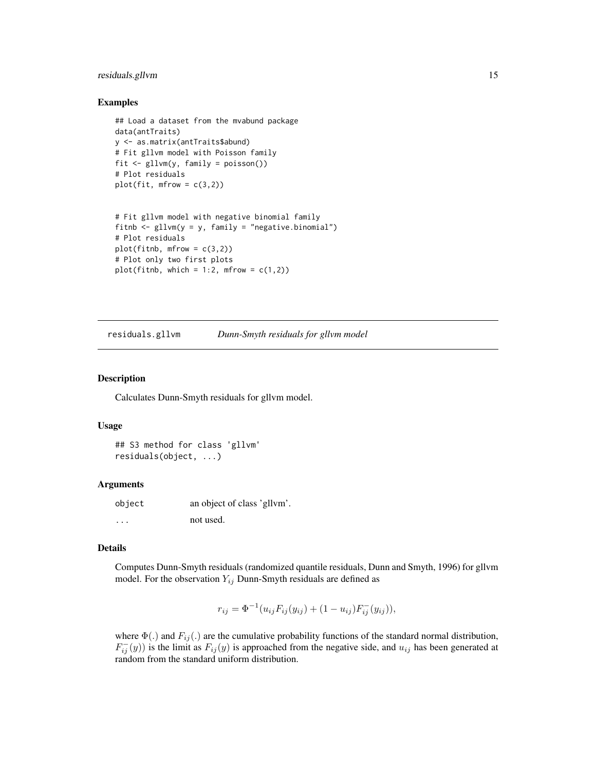#### <span id="page-14-0"></span>residuals.gllvm 15

#### Examples

```
## Load a dataset from the mvabund package
data(antTraits)
y <- as.matrix(antTraits$abund)
# Fit gllvm model with Poisson family
fit <- gllvm(y, family = poisson())
# Plot residuals
plot(fit, mfrow = c(3,2))
```

```
# Fit gllvm model with negative binomial family
fitnb \leq gllvm(y = y, family = "negative.binomial")
# Plot residuals
plot(fithb, mfrow = c(3,2))# Plot only two first plots
plot(fithb, which = 1:2, mfrom = c(1,2))
```
<span id="page-14-1"></span>residuals.gllvm *Dunn-Smyth residuals for gllvm model*

#### Description

Calculates Dunn-Smyth residuals for gllvm model.

#### Usage

```
## S3 method for class 'gllvm'
residuals(object, ...)
```
#### Arguments

| object | an object of class 'gllvm'. |
|--------|-----------------------------|
| .      | not used.                   |

#### Details

Computes Dunn-Smyth residuals (randomized quantile residuals, Dunn and Smyth, 1996) for gllvm model. For the observation  $Y_{ij}$  Dunn-Smyth residuals are defined as

$$
r_{ij} = \Phi^{-1}(u_{ij}F_{ij}(y_{ij}) + (1 - u_{ij})F_{ij}^-(y_{ij})),
$$

where  $\Phi(.)$  and  $F_{ij}(.)$  are the cumulative probability functions of the standard normal distribution,  $F_{ij}^{-}(y)$ ) is the limit as  $F_{ij}(y)$  is approached from the negative side, and  $u_{ij}$  has been generated at random from the standard uniform distribution.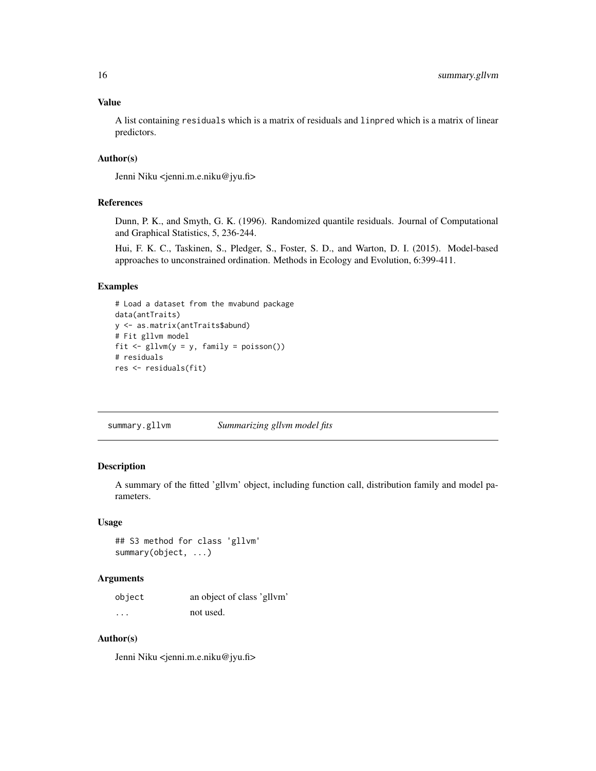#### <span id="page-15-0"></span>Value

A list containing residuals which is a matrix of residuals and linpred which is a matrix of linear predictors.

#### Author(s)

Jenni Niku <jenni.m.e.niku@jyu.fi>

#### References

Dunn, P. K., and Smyth, G. K. (1996). Randomized quantile residuals. Journal of Computational and Graphical Statistics, 5, 236-244.

Hui, F. K. C., Taskinen, S., Pledger, S., Foster, S. D., and Warton, D. I. (2015). Model-based approaches to unconstrained ordination. Methods in Ecology and Evolution, 6:399-411.

#### Examples

```
# Load a dataset from the mvabund package
data(antTraits)
y <- as.matrix(antTraits$abund)
# Fit gllvm model
fit \le gllvm(y = y, family = poisson())
# residuals
res <- residuals(fit)
```
<span id="page-15-1"></span>summary.gllvm *Summarizing gllvm model fits*

#### Description

A summary of the fitted 'gllvm' object, including function call, distribution family and model parameters.

#### Usage

## S3 method for class 'gllvm' summary(object, ...)

#### Arguments

| object | an object of class 'gllvm' |
|--------|----------------------------|
| .      | not used.                  |

#### Author(s)

Jenni Niku <jenni.m.e.niku@jyu.fi>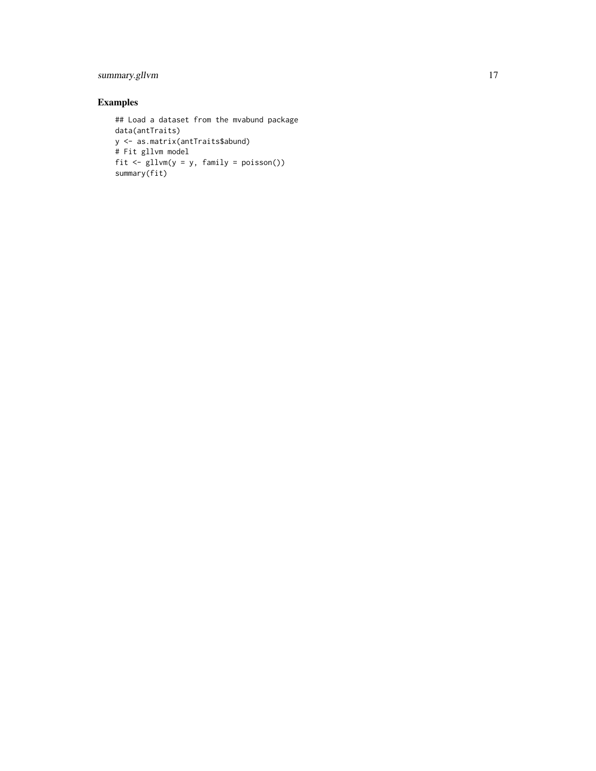### summary.gllvm 17

```
## Load a dataset from the mvabund package
data(antTraits)
y <- as.matrix(antTraits$abund)
# Fit gllvm model
fit <- gllvm(y = y, family = poisson())
summary(fit)
```